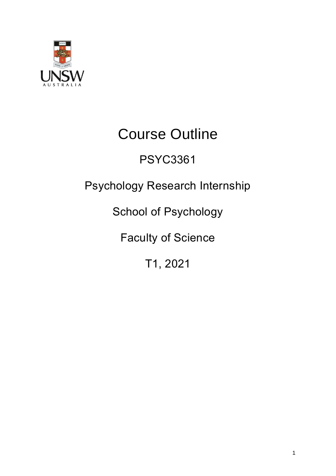

# Course Outline

## PSYC3361

## Psychology Research Internship

School of Psychology

Faculty of Science

T1, 2021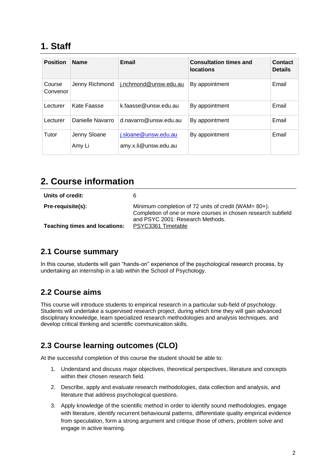## **1. Staff**

| <b>Position</b>    | <b>Name</b>            | Email                                        | <b>Consultation times and</b><br><b>locations</b> | Contact<br><b>Details</b> |
|--------------------|------------------------|----------------------------------------------|---------------------------------------------------|---------------------------|
| Course<br>Convenor | Jenny Richmond         | j.richmond@unsw.edu.au                       | By appointment                                    | Email                     |
| Lecturer           | Kate Faasse            | k.faasse@unsw.edu.au                         | By appointment                                    | Email                     |
| Lecturer           | Danielle Navarro       | $d$ .navarro@unsw.edu.au                     | By appointment                                    | Email                     |
| Tutor              | Jenny Sloane<br>Amy Li | j.sloane@unsw.edu.au<br>amy.x.li@unsw.edu.au | By appointment                                    | Email                     |

## **2. Course information**

| Units of credit:                                          | 6                                                                                                                                                                               |
|-----------------------------------------------------------|---------------------------------------------------------------------------------------------------------------------------------------------------------------------------------|
| Pre-requisite(s):<br><b>Teaching times and locations:</b> | Minimum completion of 72 units of credit (WAM= 80+).<br>Completion of one or more courses in chosen research subfield<br>and PSYC 2001: Research Methods.<br>PSYC3361 Timetable |
|                                                           |                                                                                                                                                                                 |

#### **2.1 Course summary**

In this course, students will gain "hands-on" experience of the psychological research process, by undertaking an internship in a lab within the School of Psychology.

#### **2.2 Course aims**

This course will introduce students to empirical research in a particular sub-field of psychology. Students will undertake a supervised research project, during which time they will gain advanced disciplinary knowledge, learn specialized research methodologies and analysis techniques, and develop critical thinking and scientific communication skills.

#### **2.3 Course learning outcomes (CLO)**

At the successful completion of this course the student should be able to:

- 1. Understand and discuss major objectives, theoretical perspectives, literature and concepts within their chosen research field.
- 2. Describe, apply and evaluate research methodologies, data collection and analysis, and literature that address psychological questions.
- 3. Apply knowledge of the scientific method in order to identify sound methodologies, engage with literature, identify recurrent behavioural patterns, differentiate quality empirical evidence from speculation, form a strong argument and critique those of others, problem solve and engage in active learning.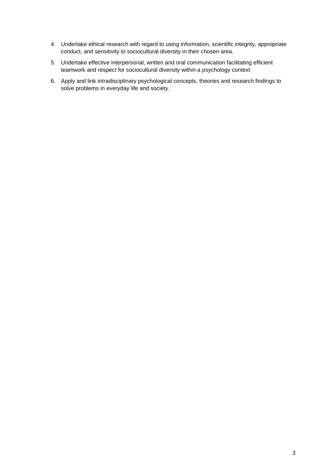- 4. Undertake ethical research with regard to using information, scientific integrity, appropriate conduct, and sensitivity to sociocultural diversity in their chosen area.
- 5. Undertake effective interpersonal, written and oral communication facilitating efficient teamwork and respect for sociocultural diversity within a psychology context
- 6. Apply and link intradisciplinary psychological concepts, theories and research findings to solve problems in everyday life and society.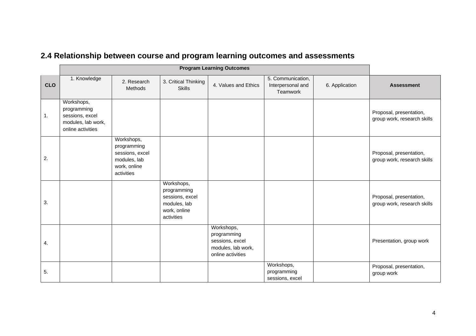|            | <b>Program Learning Outcomes</b>                                                        |                                                                                            |                                                                                            |                                                                                         |                                                    |                |                                                        |
|------------|-----------------------------------------------------------------------------------------|--------------------------------------------------------------------------------------------|--------------------------------------------------------------------------------------------|-----------------------------------------------------------------------------------------|----------------------------------------------------|----------------|--------------------------------------------------------|
| <b>CLO</b> | 1. Knowledge                                                                            | 2. Research<br><b>Methods</b>                                                              | 3. Critical Thinking<br><b>Skills</b>                                                      | 4. Values and Ethics                                                                    | 5. Communication,<br>Interpersonal and<br>Teamwork | 6. Application | <b>Assessment</b>                                      |
| 1.         | Workshops,<br>programming<br>sessions, excel<br>modules, lab work,<br>online activities |                                                                                            |                                                                                            |                                                                                         |                                                    |                | Proposal, presentation,<br>group work, research skills |
| 2.         |                                                                                         | Workshops,<br>programming<br>sessions, excel<br>modules, lab<br>work, online<br>activities |                                                                                            |                                                                                         |                                                    |                | Proposal, presentation,<br>group work, research skills |
| 3.         |                                                                                         |                                                                                            | Workshops,<br>programming<br>sessions, excel<br>modules, lab<br>work, online<br>activities |                                                                                         |                                                    |                | Proposal, presentation,<br>group work, research skills |
| 4.         |                                                                                         |                                                                                            |                                                                                            | Workshops,<br>programming<br>sessions, excel<br>modules, lab work,<br>online activities |                                                    |                | Presentation, group work                               |
| 5.         |                                                                                         |                                                                                            |                                                                                            |                                                                                         | Workshops,<br>programming<br>sessions, excel       |                | Proposal, presentation,<br>group work                  |

## **2.4 Relationship between course and program learning outcomes and assessments**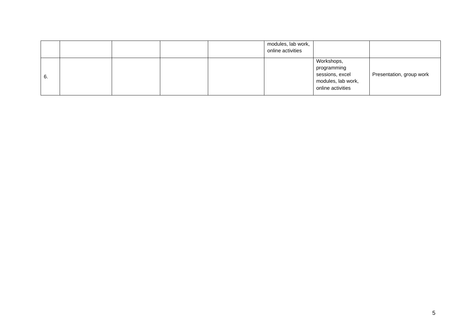|    |  |  | modules, lab work,<br>online activities |                                                                                         |                          |
|----|--|--|-----------------------------------------|-----------------------------------------------------------------------------------------|--------------------------|
| 6. |  |  |                                         | Workshops,<br>programming<br>sessions, excel<br>modules, lab work,<br>online activities | Presentation, group work |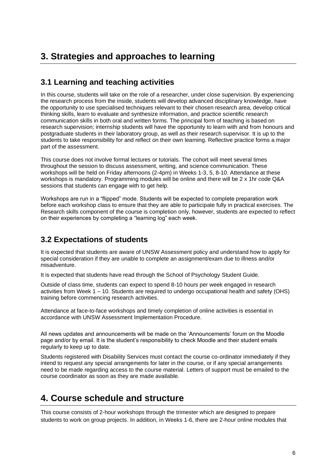## **3. Strategies and approaches to learning**

#### **3.1 Learning and teaching activities**

In this course, students will take on the role of a researcher, under close supervision. By experiencing the research process from the inside, students will develop advanced disciplinary knowledge, have the opportunity to use specialised techniques relevant to their chosen research area, develop critical thinking skills, learn to evaluate and synthesize information, and practice scientific research communication skills in both oral and written forms. The principal form of teaching is based on research supervision; internship students will have the opportunity to learn with and from honours and postgraduate students in their laboratory group, as well as their research supervisor. It is up to the students to take responsibility for and reflect on their own learning. Reflective practice forms a major part of the assessment.

This course does not involve formal lectures or tutorials. The cohort will meet several times throughout the session to discuss assessment, writing, and science communication. These workshops will be held on Friday afternoons (2-4pm) in Weeks 1-3, 5, 8-10. Attendance at these workshops is mandatory. Programming modules will be online and there will be 2 x 1hr code Q&A sessions that students can engage with to get help.

Workshops are run in a "flipped" mode. Students will be expected to complete preparation work before each workshop class to ensure that they are able to participate fully in practical exercises. The Research skills component of the course is completion only, however, students are expected to reflect on their experiences by completing a "learning log" each week.

#### **3.2 Expectations of students**

It is expected that students are aware of UNSW Assessment policy and understand how to apply for special consideration if they are unable to complete an assignment/exam due to illness and/or misadventure.

It is expected that students have read through the School of Psychology Student Guide.

Outside of class time, students can expect to spend 8-10 hours per week engaged in research activities from Week 1 – 10. Students are required to undergo occupational health and safety (OHS) training before commencing research activities.

Attendance at face-to-face workshops and timely completion of online activities is essential in accordance with UNSW Assessment Implementation Procedure.

All news updates and announcements will be made on the 'Announcements' forum on the Moodle page and/or by email. It is the student's responsibility to check Moodle and their student emails regularly to keep up to date.

Students registered with Disability Services must contact the course co-ordinator immediately if they intend to request any special arrangements for later in the course, or if any special arrangements need to be made regarding access to the course material. Letters of support must be emailed to the course coordinator as soon as they are made available.

## **4. Course schedule and structure**

This course consists of 2-hour workshops through the trimester which are designed to prepare students to work on group projects. In addition, in Weeks 1-6, there are 2-hour online modules that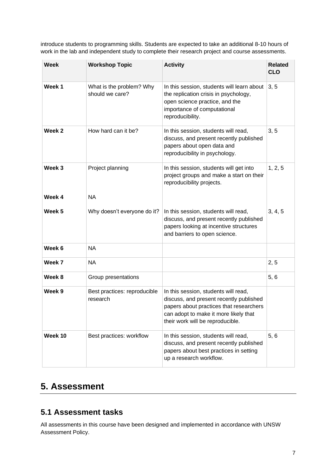introduce students to programming skills. Students are expected to take an additional 8-10 hours of work in the lab and independent study to complete their research project and course assessments.

| <b>Week</b>       | <b>Workshop Topic</b>                       | <b>Activity</b>                                                                                                                                                                                         | <b>Related</b><br><b>CLO</b> |
|-------------------|---------------------------------------------|---------------------------------------------------------------------------------------------------------------------------------------------------------------------------------------------------------|------------------------------|
| Week 1            | What is the problem? Why<br>should we care? | In this session, students will learn about<br>the replication crisis in psychology,<br>open science practice, and the<br>importance of computational<br>reproducibility.                                | 3, 5                         |
| Week 2            | How hard can it be?                         | In this session, students will read,<br>discuss, and present recently published<br>papers about open data and<br>reproducibility in psychology.                                                         | 3, 5                         |
| Week <sub>3</sub> | Project planning                            | In this session, students will get into<br>project groups and make a start on their<br>reproducibility projects.                                                                                        | 1, 2, 5                      |
| Week 4            | <b>NA</b>                                   |                                                                                                                                                                                                         |                              |
| Week 5            | Why doesn't everyone do it?                 | In this session, students will read,<br>discuss, and present recently published<br>papers looking at incentive structures<br>and barriers to open science.                                              | 3, 4, 5                      |
| Week 6            | <b>NA</b>                                   |                                                                                                                                                                                                         |                              |
| Week 7            | <b>NA</b>                                   |                                                                                                                                                                                                         | 2, 5                         |
| Week 8            | Group presentations                         |                                                                                                                                                                                                         | 5,6                          |
| Week 9            | Best practices: reproducible<br>research    | In this session, students will read,<br>discuss, and present recently published<br>papers about practices that researchers<br>can adopt to make it more likely that<br>their work will be reproducible. |                              |
| Week 10           | Best practices: workflow                    | In this session, students will read,<br>discuss, and present recently published<br>papers about best practices in setting<br>up a research workflow.                                                    | 5, 6                         |

## **5. Assessment**

#### **5.1 Assessment tasks**

All assessments in this course have been designed and implemented in accordance with UNSW Assessment Policy.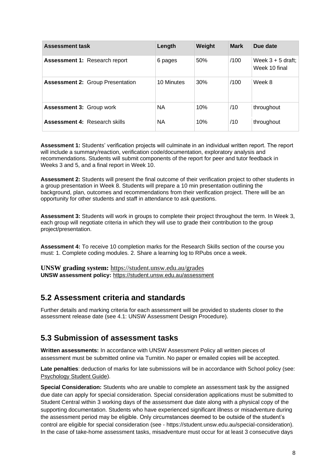| <b>Assessment task</b>                  | Length     | Weight | <b>Mark</b> | Due date                             |
|-----------------------------------------|------------|--------|-------------|--------------------------------------|
| <b>Assessment 1: Research report</b>    | 6 pages    | 50%    | /100        | Week $3 + 5$ draft;<br>Week 10 final |
| <b>Assessment 2: Group Presentation</b> | 10 Minutes | 30%    | /100        | Week 8                               |
| <b>Assessment 3: Group work</b>         | <b>NA</b>  | 10%    | /10         | throughout                           |
| <b>Assessment 4: Research skills</b>    | <b>NA</b>  | 10%    | /10         | throughout                           |

**Assessment 1:** Students' verification projects will culminate in an individual written report. The report will include a summary/reaction, verification code/documentation, exploratory analysis and recommendations. Students will submit components of the report for peer and tutor feedback in Weeks 3 and 5, and a final report in Week 10.

**Assessment 2:** Students will present the final outcome of their verification project to other students in a group presentation in Week 8. Students will prepare a 10 min presentation outlining the background, plan, outcomes and recommendations from their verification project. There will be an opportunity for other students and staff in attendance to ask questions.

**Assessment 3:** Students will work in groups to complete their project throughout the term. In Week 3, each group will negotiate criteria in which they will use to grade their contribution to the group project/presentation.

**Assessment 4:** To receive 10 completion marks for the Research Skills section of the course you must: 1. Complete coding modules. 2. Share a learning log to RPubs once a week.

**UNSW grading system:** <https://student.unsw.edu.au/grades> **UNSW assessment policy:** <https://student.unsw.edu.au/assessment>

#### **5.2 Assessment criteria and standards**

Further details and marking criteria for each assessment will be provided to students closer to the assessment release date (see 4.1: UNSW Assessment Design Procedure).

#### **5.3 Submission of assessment tasks**

**Written assessments:** In accordance with UNSW Assessment Policy all written pieces of assessment must be submitted online via Turnitin. No paper or emailed copies will be accepted.

**Late penalties**: deduction of marks for late submissions will be in accordance with School policy (see: [Psychology Student Guide\)](https://moodle.telt.unsw.edu.au/mod/resource/view.php?id=1630526).

**Special Consideration:** Students who are unable to complete an assessment task by the assigned due date can apply for special consideration. Special consideration applications must be submitted to Student Central within 3 working days of the assessment due date along with a physical copy of the supporting documentation. Students who have experienced significant illness or misadventure during the assessment period may be eligible. Only circumstances deemed to be outside of the student's control are eligible for special consideration (see - https://student.unsw.edu.au/special-consideration). In the case of take-home assessment tasks, misadventure must occur for at least 3 consecutive days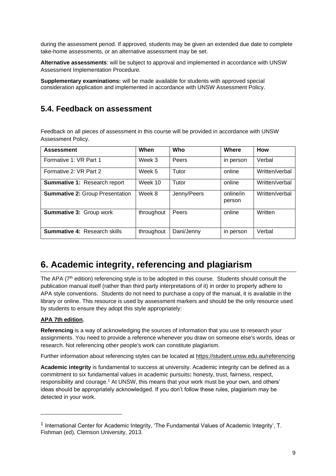during the assessment period. If approved, students may be given an extended due date to complete take-home assessments, or an alternative assessment may be set.

**Alternative assessments**: will be subject to approval and implemented in accordance with UNSW Assessment Implementation Procedure.

**Supplementary examinations:** will be made available for students with approved special consideration application and implemented in accordance with UNSW Assessment Policy.

#### **5.4. Feedback on assessment**

Feedback on all pieces of assessment in this course will be provided in accordance with UNSW Assessment Policy.

| <b>Assessment</b>                      | When       | Who         | Where               | <b>How</b>     |
|----------------------------------------|------------|-------------|---------------------|----------------|
| Formative 1: VR Part 1                 | Week 3     | Peers       | in person           | Verbal         |
| Formative 2: VR Part 2                 | Week 5     | Tutor       | online              | Written/verbal |
| Summative 1: Research report           | Week 10    | Tutor       | online              | Written/verbal |
| <b>Summative 2: Group Presentation</b> | Week 8     | Jenny/Peers | online/in<br>person | Written/verbal |
| <b>Summative 3: Group work</b>         | throughout | Peers       | online              | Written        |
| <b>Summative 4: Research skills</b>    | throughout | Dani/Jenny  | in person           | Verbal         |

## **6. Academic integrity, referencing and plagiarism**

The APA (7<sup>th</sup> edition) referencing style is to be adopted in this course. Students should consult the publication manual itself (rather than third party interpretations of it) in order to properly adhere to APA style conventions. Students do not need to purchase a copy of the manual, it is available in the library or online. This resource is used by assessment markers and should be the only resource used by students to ensure they adopt this style appropriately:

#### **[APA 7th edition](http://www.apastyle.org/manual/index.aspx).**

**Referencing** is a way of acknowledging the sources of information that you use to research your assignments. You need to provide a reference whenever you draw on someone else's words, ideas or research. Not referencing other people's work can constitute plagiarism.

Further information about referencing styles can be located at<https://student.unsw.edu.au/referencing>

**Academic integrity** is fundamental to success at university. Academic integrity can be defined as a commitment to six fundamental values in academic pursuits**:** honesty, trust, fairness, respect, responsibility and courage.<sup>1</sup> At UNSW, this means that your work must be your own, and others' ideas should be appropriately acknowledged. If you don't follow these rules, plagiarism may be detected in your work.

<sup>&</sup>lt;sup>1</sup> International Center for Academic Integrity, 'The Fundamental Values of Academic Integrity', T. Fishman (ed), Clemson University, 2013.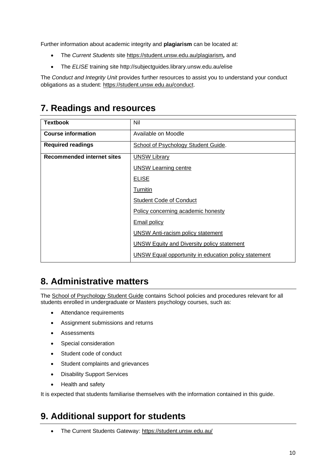Further information about academic integrity and **plagiarism** can be located at:

- The *Current Students* site<https://student.unsw.edu.au/plagiarism>*,* and
- The *ELISE* training site http://subjectguides.library.unsw.edu.au/elise

The *Conduct and Integrity Unit* provides further resources to assist you to understand your conduct obligations as a student: [https://student.unsw.edu.au/conduct.](https://student.unsw.edu.au/conduct)

## **7. Readings and resources**

| <b>Textbook</b>                   | Nil                                                  |
|-----------------------------------|------------------------------------------------------|
| <b>Course information</b>         | Available on Moodle                                  |
| <b>Required readings</b>          | School of Psychology Student Guide.                  |
| <b>Recommended internet sites</b> | <b>UNSW Library</b>                                  |
|                                   | <b>UNSW Learning centre</b>                          |
|                                   | <b>ELISE</b>                                         |
|                                   | <b>Turnitin</b>                                      |
|                                   | <b>Student Code of Conduct</b>                       |
|                                   | Policy concerning academic honesty                   |
|                                   | <b>Email policy</b>                                  |
|                                   | <b>UNSW Anti-racism policy statement</b>             |
|                                   | <b>UNSW Equity and Diversity policy statement</b>    |
|                                   | UNSW Equal opportunity in education policy statement |

## **8. Administrative matters**

The [School of Psychology Student Guide](http://psy.unsw.edu.au/sites/all/files/page_file_attachment/2018%20S1%20Psychology%20Student%20Guide_20180130.pdf) contains School policies and procedures relevant for all students enrolled in undergraduate or Masters psychology courses, such as:

- Attendance requirements
- Assignment submissions and returns
- Assessments
- Special consideration
- Student code of conduct
- Student complaints and grievances
- Disability Support Services
- Health and safety

It is expected that students familiarise themselves with the information contained in this guide.

## **9. Additional support for students**

• The Current Students Gateway:<https://student.unsw.edu.au/>